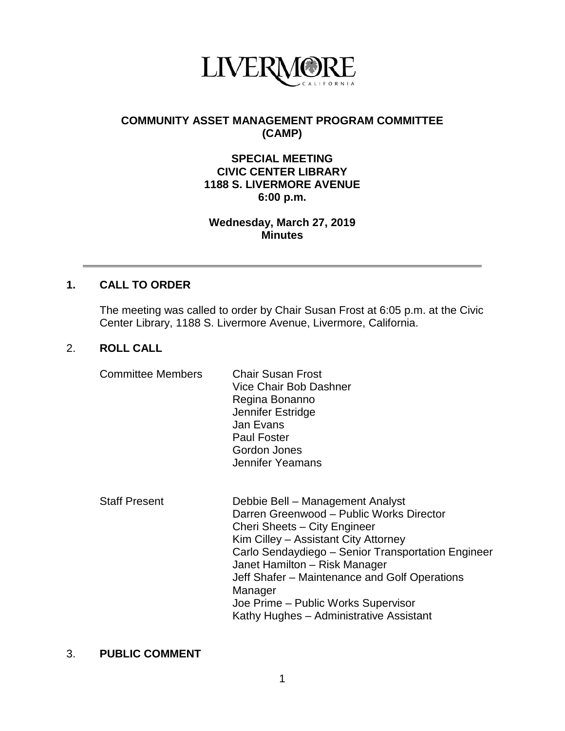

# **COMMUNITY ASSET MANAGEMENT PROGRAM COMMITTEE (CAMP)**

## **SPECIAL MEETING CIVIC CENTER LIBRARY 1188 S. LIVERMORE AVENUE 6:00 p.m.**

### **Wednesday, March 27, 2019 Minutes**

## **1. CALL TO ORDER**

The meeting was called to order by Chair Susan Frost at 6:05 p.m. at the Civic Center Library, 1188 S. Livermore Avenue, Livermore, California.

### 2. **ROLL CALL**

| <b>Committee Members</b> | <b>Chair Susan Frost</b> |
|--------------------------|--------------------------|
|                          | Vice Chair Bob Dashner   |
|                          | Regina Bonanno           |
|                          | Jennifer Estridge        |
|                          | Jan Evans                |
|                          | <b>Paul Foster</b>       |
|                          | Gordon Jones             |
|                          | Jennifer Yeamans         |
|                          |                          |
|                          |                          |

| Debbie Bell - Management Analyst                   |
|----------------------------------------------------|
| Darren Greenwood - Public Works Director           |
| Cheri Sheets - City Engineer                       |
| Kim Cilley - Assistant City Attorney               |
| Carlo Sendaydiego - Senior Transportation Engineer |
| Janet Hamilton - Risk Manager                      |
| Jeff Shafer - Maintenance and Golf Operations      |
| Manager                                            |
| Joe Prime - Public Works Supervisor                |
| Kathy Hughes - Administrative Assistant            |
|                                                    |

#### 3. **PUBLIC COMMENT**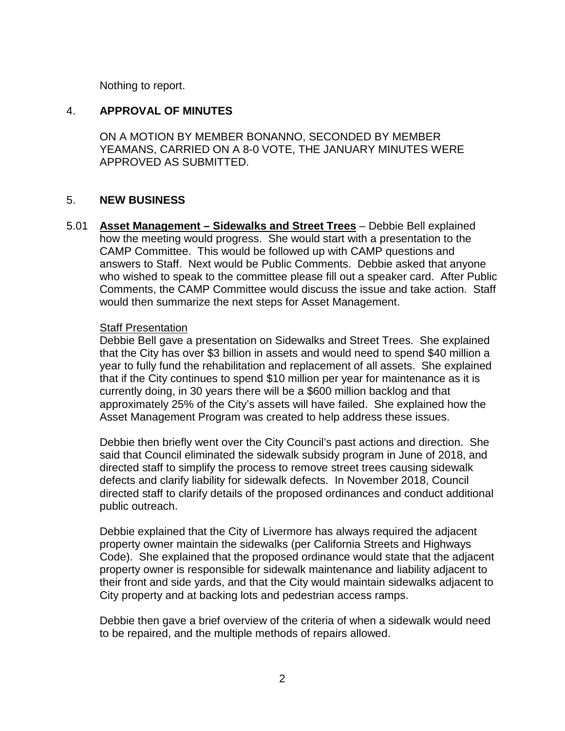Nothing to report.

### 4. **APPROVAL OF MINUTES**

ON A MOTION BY MEMBER BONANNO, SECONDED BY MEMBER YEAMANS, CARRIED ON A 8-0 VOTE, THE JANUARY MINUTES WERE APPROVED AS SUBMITTED.

### 5. **NEW BUSINESS**

5.01 **Asset Management – Sidewalks and Street Trees** – Debbie Bell explained how the meeting would progress. She would start with a presentation to the CAMP Committee. This would be followed up with CAMP questions and answers to Staff. Next would be Public Comments. Debbie asked that anyone who wished to speak to the committee please fill out a speaker card. After Public Comments, the CAMP Committee would discuss the issue and take action. Staff would then summarize the next steps for Asset Management.

#### Staff Presentation

Debbie Bell gave a presentation on Sidewalks and Street Trees. She explained that the City has over \$3 billion in assets and would need to spend \$40 million a year to fully fund the rehabilitation and replacement of all assets. She explained that if the City continues to spend \$10 million per year for maintenance as it is currently doing, in 30 years there will be a \$600 million backlog and that approximately 25% of the City's assets will have failed. She explained how the Asset Management Program was created to help address these issues.

Debbie then briefly went over the City Council's past actions and direction. She said that Council eliminated the sidewalk subsidy program in June of 2018, and directed staff to simplify the process to remove street trees causing sidewalk defects and clarify liability for sidewalk defects. In November 2018, Council directed staff to clarify details of the proposed ordinances and conduct additional public outreach.

Debbie explained that the City of Livermore has always required the adjacent property owner maintain the sidewalks (per California Streets and Highways Code). She explained that the proposed ordinance would state that the adjacent property owner is responsible for sidewalk maintenance and liability adjacent to their front and side yards, and that the City would maintain sidewalks adjacent to City property and at backing lots and pedestrian access ramps.

Debbie then gave a brief overview of the criteria of when a sidewalk would need to be repaired, and the multiple methods of repairs allowed.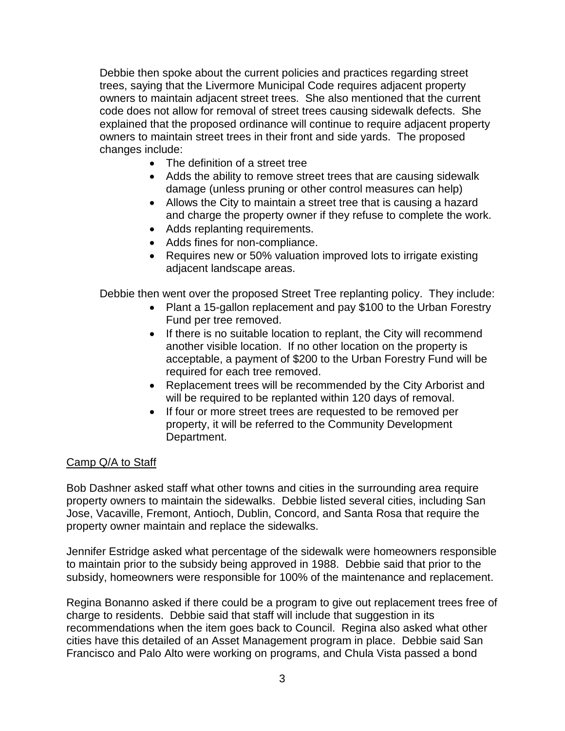Debbie then spoke about the current policies and practices regarding street trees, saying that the Livermore Municipal Code requires adjacent property owners to maintain adjacent street trees. She also mentioned that the current code does not allow for removal of street trees causing sidewalk defects. She explained that the proposed ordinance will continue to require adjacent property owners to maintain street trees in their front and side yards. The proposed changes include:

- The definition of a street tree
- Adds the ability to remove street trees that are causing sidewalk damage (unless pruning or other control measures can help)
- Allows the City to maintain a street tree that is causing a hazard and charge the property owner if they refuse to complete the work.
- Adds replanting requirements.
- Adds fines for non-compliance.
- Requires new or 50% valuation improved lots to irrigate existing adjacent landscape areas.

Debbie then went over the proposed Street Tree replanting policy. They include:

- Plant a 15-gallon replacement and pay \$100 to the Urban Forestry Fund per tree removed.
- If there is no suitable location to replant, the City will recommend another visible location. If no other location on the property is acceptable, a payment of \$200 to the Urban Forestry Fund will be required for each tree removed.
- Replacement trees will be recommended by the City Arborist and will be required to be replanted within 120 days of removal.
- If four or more street trees are requested to be removed per property, it will be referred to the Community Development Department.

### Camp Q/A to Staff

Bob Dashner asked staff what other towns and cities in the surrounding area require property owners to maintain the sidewalks. Debbie listed several cities, including San Jose, Vacaville, Fremont, Antioch, Dublin, Concord, and Santa Rosa that require the property owner maintain and replace the sidewalks.

Jennifer Estridge asked what percentage of the sidewalk were homeowners responsible to maintain prior to the subsidy being approved in 1988. Debbie said that prior to the subsidy, homeowners were responsible for 100% of the maintenance and replacement.

Regina Bonanno asked if there could be a program to give out replacement trees free of charge to residents. Debbie said that staff will include that suggestion in its recommendations when the item goes back to Council. Regina also asked what other cities have this detailed of an Asset Management program in place. Debbie said San Francisco and Palo Alto were working on programs, and Chula Vista passed a bond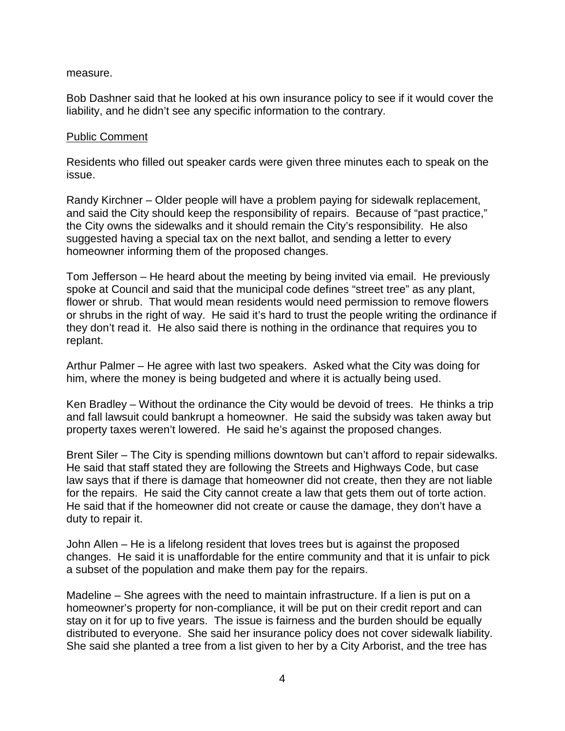#### measure.

Bob Dashner said that he looked at his own insurance policy to see if it would cover the liability, and he didn't see any specific information to the contrary.

#### Public Comment

Residents who filled out speaker cards were given three minutes each to speak on the issue.

Randy Kirchner – Older people will have a problem paying for sidewalk replacement, and said the City should keep the responsibility of repairs. Because of "past practice," the City owns the sidewalks and it should remain the City's responsibility. He also suggested having a special tax on the next ballot, and sending a letter to every homeowner informing them of the proposed changes.

Tom Jefferson – He heard about the meeting by being invited via email. He previously spoke at Council and said that the municipal code defines "street tree" as any plant, flower or shrub. That would mean residents would need permission to remove flowers or shrubs in the right of way. He said it's hard to trust the people writing the ordinance if they don't read it. He also said there is nothing in the ordinance that requires you to replant.

Arthur Palmer – He agree with last two speakers. Asked what the City was doing for him, where the money is being budgeted and where it is actually being used.

Ken Bradley – Without the ordinance the City would be devoid of trees. He thinks a trip and fall lawsuit could bankrupt a homeowner. He said the subsidy was taken away but property taxes weren't lowered. He said he's against the proposed changes.

Brent Siler – The City is spending millions downtown but can't afford to repair sidewalks. He said that staff stated they are following the Streets and Highways Code, but case law says that if there is damage that homeowner did not create, then they are not liable for the repairs. He said the City cannot create a law that gets them out of torte action. He said that if the homeowner did not create or cause the damage, they don't have a duty to repair it.

John Allen – He is a lifelong resident that loves trees but is against the proposed changes. He said it is unaffordable for the entire community and that it is unfair to pick a subset of the population and make them pay for the repairs.

Madeline – She agrees with the need to maintain infrastructure. If a lien is put on a homeowner's property for non-compliance, it will be put on their credit report and can stay on it for up to five years. The issue is fairness and the burden should be equally distributed to everyone. She said her insurance policy does not cover sidewalk liability. She said she planted a tree from a list given to her by a City Arborist, and the tree has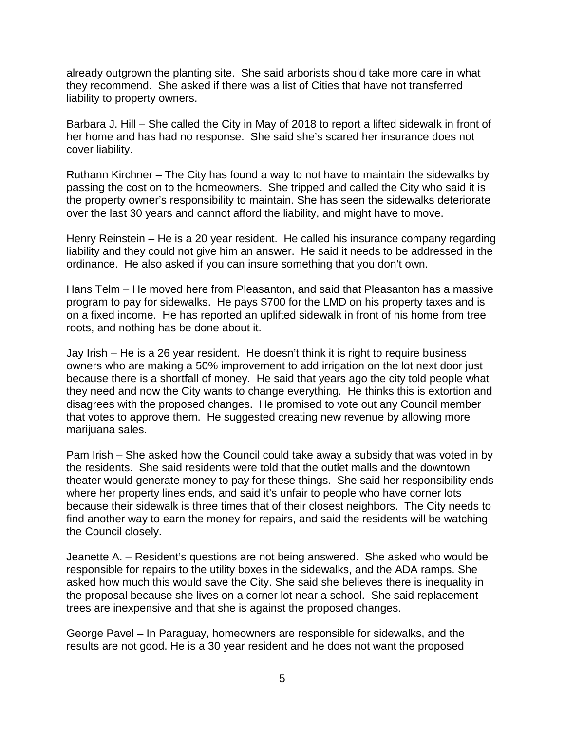already outgrown the planting site. She said arborists should take more care in what they recommend. She asked if there was a list of Cities that have not transferred liability to property owners.

Barbara J. Hill – She called the City in May of 2018 to report a lifted sidewalk in front of her home and has had no response. She said she's scared her insurance does not cover liability.

Ruthann Kirchner – The City has found a way to not have to maintain the sidewalks by passing the cost on to the homeowners. She tripped and called the City who said it is the property owner's responsibility to maintain. She has seen the sidewalks deteriorate over the last 30 years and cannot afford the liability, and might have to move.

Henry Reinstein – He is a 20 year resident. He called his insurance company regarding liability and they could not give him an answer. He said it needs to be addressed in the ordinance. He also asked if you can insure something that you don't own.

Hans Telm – He moved here from Pleasanton, and said that Pleasanton has a massive program to pay for sidewalks. He pays \$700 for the LMD on his property taxes and is on a fixed income. He has reported an uplifted sidewalk in front of his home from tree roots, and nothing has be done about it.

Jay Irish – He is a 26 year resident. He doesn't think it is right to require business owners who are making a 50% improvement to add irrigation on the lot next door just because there is a shortfall of money. He said that years ago the city told people what they need and now the City wants to change everything. He thinks this is extortion and disagrees with the proposed changes. He promised to vote out any Council member that votes to approve them. He suggested creating new revenue by allowing more marijuana sales.

Pam Irish – She asked how the Council could take away a subsidy that was voted in by the residents. She said residents were told that the outlet malls and the downtown theater would generate money to pay for these things. She said her responsibility ends where her property lines ends, and said it's unfair to people who have corner lots because their sidewalk is three times that of their closest neighbors. The City needs to find another way to earn the money for repairs, and said the residents will be watching the Council closely.

Jeanette A. – Resident's questions are not being answered. She asked who would be responsible for repairs to the utility boxes in the sidewalks, and the ADA ramps. She asked how much this would save the City. She said she believes there is inequality in the proposal because she lives on a corner lot near a school. She said replacement trees are inexpensive and that she is against the proposed changes.

George Pavel – In Paraguay, homeowners are responsible for sidewalks, and the results are not good. He is a 30 year resident and he does not want the proposed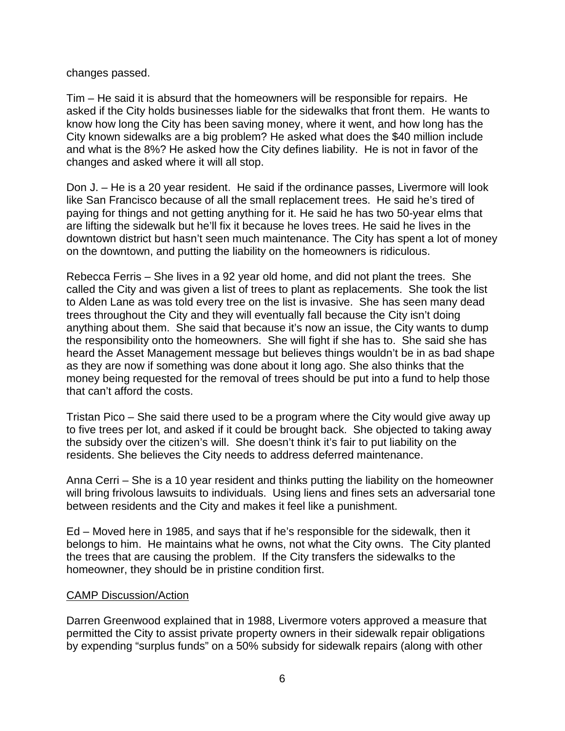changes passed.

Tim – He said it is absurd that the homeowners will be responsible for repairs. He asked if the City holds businesses liable for the sidewalks that front them. He wants to know how long the City has been saving money, where it went, and how long has the City known sidewalks are a big problem? He asked what does the \$40 million include and what is the 8%? He asked how the City defines liability. He is not in favor of the changes and asked where it will all stop.

Don J. – He is a 20 year resident. He said if the ordinance passes, Livermore will look like San Francisco because of all the small replacement trees. He said he's tired of paying for things and not getting anything for it. He said he has two 50-year elms that are lifting the sidewalk but he'll fix it because he loves trees. He said he lives in the downtown district but hasn't seen much maintenance. The City has spent a lot of money on the downtown, and putting the liability on the homeowners is ridiculous.

Rebecca Ferris – She lives in a 92 year old home, and did not plant the trees. She called the City and was given a list of trees to plant as replacements. She took the list to Alden Lane as was told every tree on the list is invasive. She has seen many dead trees throughout the City and they will eventually fall because the City isn't doing anything about them. She said that because it's now an issue, the City wants to dump the responsibility onto the homeowners. She will fight if she has to. She said she has heard the Asset Management message but believes things wouldn't be in as bad shape as they are now if something was done about it long ago. She also thinks that the money being requested for the removal of trees should be put into a fund to help those that can't afford the costs.

Tristan Pico – She said there used to be a program where the City would give away up to five trees per lot, and asked if it could be brought back. She objected to taking away the subsidy over the citizen's will. She doesn't think it's fair to put liability on the residents. She believes the City needs to address deferred maintenance.

Anna Cerri – She is a 10 year resident and thinks putting the liability on the homeowner will bring frivolous lawsuits to individuals. Using liens and fines sets an adversarial tone between residents and the City and makes it feel like a punishment.

Ed – Moved here in 1985, and says that if he's responsible for the sidewalk, then it belongs to him. He maintains what he owns, not what the City owns. The City planted the trees that are causing the problem. If the City transfers the sidewalks to the homeowner, they should be in pristine condition first.

### CAMP Discussion/Action

Darren Greenwood explained that in 1988, Livermore voters approved a measure that permitted the City to assist private property owners in their sidewalk repair obligations by expending "surplus funds" on a 50% subsidy for sidewalk repairs (along with other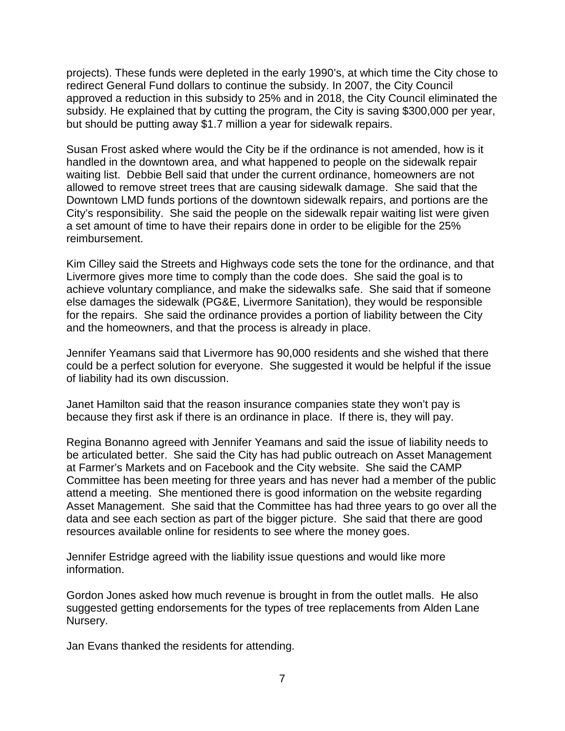projects). These funds were depleted in the early 1990's, at which time the City chose to redirect General Fund dollars to continue the subsidy. In 2007, the City Council approved a reduction in this subsidy to 25% and in 2018, the City Council eliminated the subsidy. He explained that by cutting the program, the City is saving \$300,000 per year, but should be putting away \$1.7 million a year for sidewalk repairs.

Susan Frost asked where would the City be if the ordinance is not amended, how is it handled in the downtown area, and what happened to people on the sidewalk repair waiting list. Debbie Bell said that under the current ordinance, homeowners are not allowed to remove street trees that are causing sidewalk damage. She said that the Downtown LMD funds portions of the downtown sidewalk repairs, and portions are the City's responsibility. She said the people on the sidewalk repair waiting list were given a set amount of time to have their repairs done in order to be eligible for the 25% reimbursement.

Kim Cilley said the Streets and Highways code sets the tone for the ordinance, and that Livermore gives more time to comply than the code does. She said the goal is to achieve voluntary compliance, and make the sidewalks safe. She said that if someone else damages the sidewalk (PG&E, Livermore Sanitation), they would be responsible for the repairs. She said the ordinance provides a portion of liability between the City and the homeowners, and that the process is already in place.

Jennifer Yeamans said that Livermore has 90,000 residents and she wished that there could be a perfect solution for everyone. She suggested it would be helpful if the issue of liability had its own discussion.

Janet Hamilton said that the reason insurance companies state they won't pay is because they first ask if there is an ordinance in place. If there is, they will pay.

Regina Bonanno agreed with Jennifer Yeamans and said the issue of liability needs to be articulated better. She said the City has had public outreach on Asset Management at Farmer's Markets and on Facebook and the City website. She said the CAMP Committee has been meeting for three years and has never had a member of the public attend a meeting. She mentioned there is good information on the website regarding Asset Management. She said that the Committee has had three years to go over all the data and see each section as part of the bigger picture. She said that there are good resources available online for residents to see where the money goes.

Jennifer Estridge agreed with the liability issue questions and would like more information.

Gordon Jones asked how much revenue is brought in from the outlet malls. He also suggested getting endorsements for the types of tree replacements from Alden Lane Nursery.

Jan Evans thanked the residents for attending.